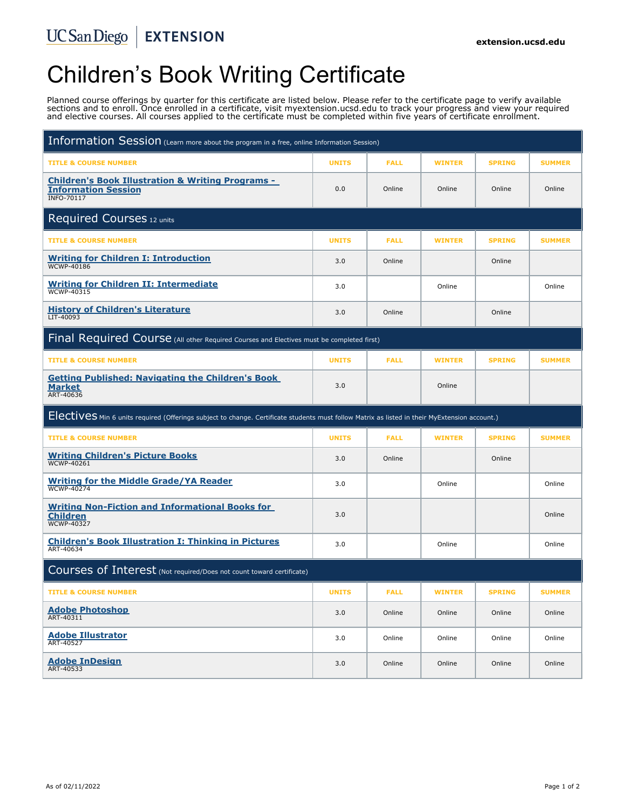# Children's Book Writing Certificate

Planned course offerings by quarter for this certificate are listed below. Please refer to the certificate page to verify available sections and to enroll. Once enrolled in a certificate, visit myextension.ucsd.edu to track your progress and view your required and elective courses. All courses applied to the certificate must be completed within five years of certificate enrollment.

| Information Session (Learn more about the program in a free, online Information Session)                                                      |              |             |               |               |               |
|-----------------------------------------------------------------------------------------------------------------------------------------------|--------------|-------------|---------------|---------------|---------------|
| <b>TITLE &amp; COURSE NUMBER</b>                                                                                                              | <b>UNITS</b> | <b>FALL</b> | <b>WINTER</b> | <b>SPRING</b> | <b>SUMMER</b> |
| <b>Children's Book Illustration &amp; Writing Programs -</b><br><b>Information Session</b><br><b>INFO-70117</b>                               | 0.0          | Online      | Online        | Online        | Online        |
| Required Courses 12 units                                                                                                                     |              |             |               |               |               |
| <b>TITLE &amp; COURSE NUMBER</b>                                                                                                              | <b>UNITS</b> | <b>FALL</b> | <b>WINTER</b> | <b>SPRING</b> | <b>SUMMER</b> |
| <b>Writing for Children I: Introduction</b><br><b>WCWP-40186</b>                                                                              | 3.0          | Online      |               | Online        |               |
| <b>Writing for Children II: Intermediate</b><br><b>WCWP-40315</b>                                                                             | 3.0          |             | Online        |               | Online        |
| <b>History of Children's Literature</b><br>LIT-40093                                                                                          | 3.0          | Online      |               | Online        |               |
| Final Required Course (All other Required Courses and Electives must be completed first)                                                      |              |             |               |               |               |
| <b>TITLE &amp; COURSE NUMBER</b>                                                                                                              | <b>UNITS</b> | <b>FALL</b> | <b>WINTER</b> | <b>SPRING</b> | <b>SUMMER</b> |
| <b>Getting Published: Navigating the Children's Book</b><br><b>Market</b><br>ART-40636                                                        | 3.0          |             | Online        |               |               |
| Electives Min 6 units required (Offerings subject to change. Certificate students must follow Matrix as listed in their MyExtension account.) |              |             |               |               |               |
|                                                                                                                                               |              |             |               |               |               |
| <b>TITLE &amp; COURSE NUMBER</b>                                                                                                              | <b>UNITS</b> | <b>FALL</b> | <b>WINTER</b> | <b>SPRING</b> | <b>SUMMER</b> |
| <b>Writing Children's Picture Books</b><br><b>WCWP-40261</b>                                                                                  | 3.0          | Online      |               | Online        |               |
| <b>Writing for the Middle Grade/YA Reader</b><br><b>WCWP-40274</b>                                                                            | 3.0          |             | Online        |               | Online        |
| <b>Writing Non-Fiction and Informational Books for</b><br><b>Children</b><br><b>WCWP-40327</b>                                                | 3.0          |             |               |               | Online        |
| <b>Children's Book Illustration I: Thinking in Pictures</b><br>ART-40634                                                                      | 3.0          |             | Online        |               | Online        |
| Courses of Interest (Not required/Does not count toward certificate)                                                                          |              |             |               |               |               |
| <b>TITLE &amp; COURSE NUMBER</b>                                                                                                              | <b>UNITS</b> | <b>FALL</b> | <b>WINTER</b> | <b>SPRING</b> | <b>SUMMER</b> |
| <b>Adobe Photoshop</b><br>ART-40311                                                                                                           | 3.0          | Online      | Online        | Online        | Online        |
| <b>Adobe Illustrator</b><br>ART-40527                                                                                                         | 3.0          | Online      | Online        | Online        | Online        |